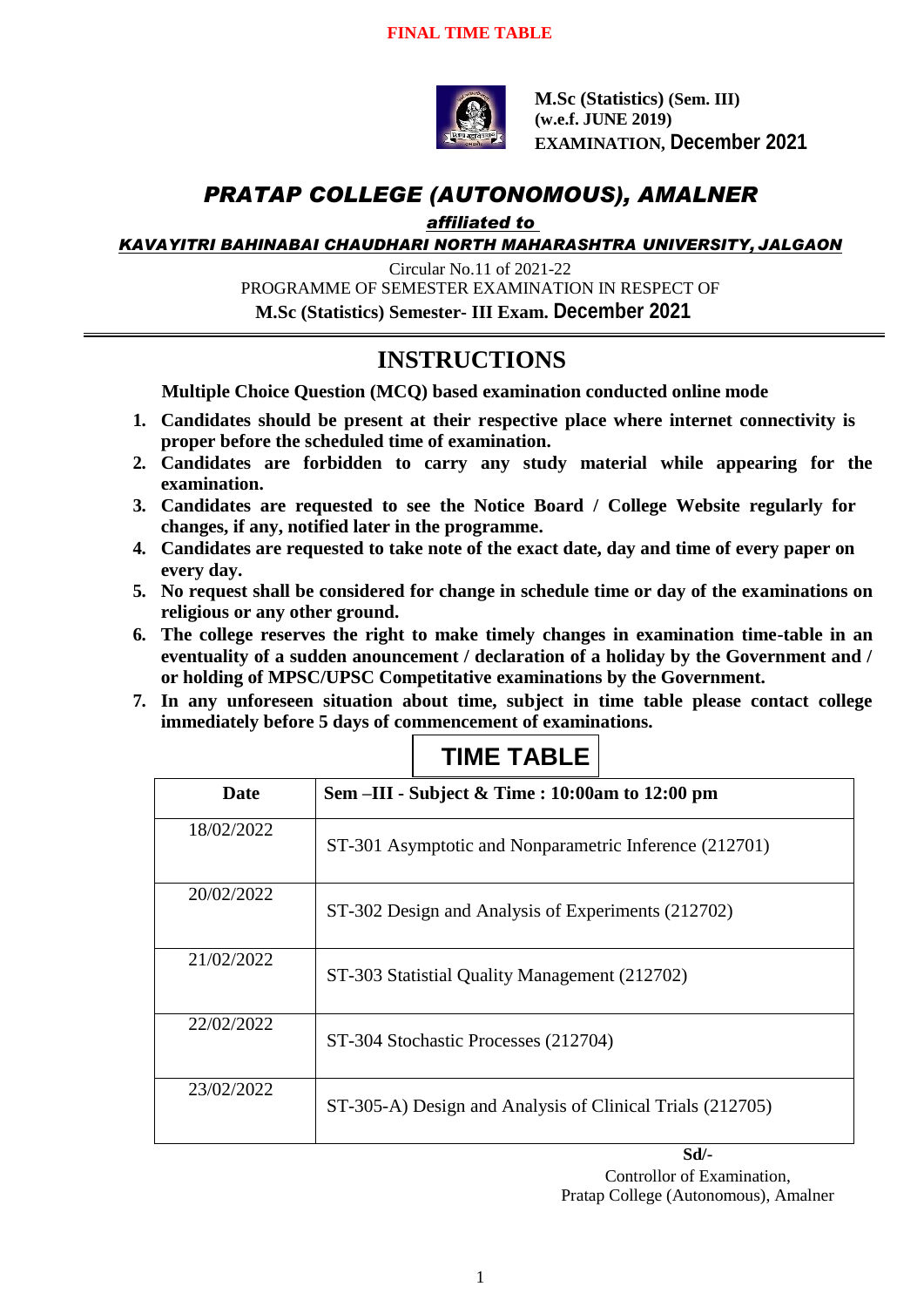

**M.Sc (Statistics) (Sem. III) (w.e.f. JUNE 2019) EXAMINATION, December 2021**

### *PRATAP COLLEGE (AUTONOMOUS), AMALNER*

*affiliated to* 

*KAVAYITRI BAHINABAI CHAUDHARI NORTH MAHARASHTRA UNIVERSITY, JALGAON*

Circular No.11 of 2021-22 PROGRAMME OF SEMESTER EXAMINATION IN RESPECT OF **M.Sc (Statistics) Semester- III Exam. December 2021**

### **INSTRUCTIONS**

**Multiple Choice Question (MCQ) based examination conducted online mode**

- **1. Candidates should be present at their respective place where internet connectivity is proper before the scheduled time of examination.**
- **2. Candidates are forbidden to carry any study material while appearing for the examination.**
- **3. Candidates are requested to see the Notice Board / College Website regularly for changes, if any, notified later in the programme.**
- **4. Candidates are requested to take note of the exact date, day and time of every paper on every day.**
- **5. No request shall be considered for change in schedule time or day of the examinations on religious or any other ground.**
- **6. The college reserves the right to make timely changes in examination time-table in an eventuality of a sudden anouncement / declaration of a holiday by the Government and / or holding of MPSC/UPSC Competitative examinations by the Government.**
- **7. In any unforeseen situation about time, subject in time table please contact college immediately before 5 days of commencement of examinations.**

| Date       | Sem -III - Subject & Time : 10:00am to 12:00 pm           |
|------------|-----------------------------------------------------------|
| 18/02/2022 | ST-301 Asymptotic and Nonparametric Inference (212701)    |
| 20/02/2022 | ST-302 Design and Analysis of Experiments (212702)        |
| 21/02/2022 | ST-303 Statistial Quality Management (212702)             |
| 22/02/2022 | ST-304 Stochastic Processes (212704)                      |
| 23/02/2022 | ST-305-A) Design and Analysis of Clinical Trials (212705) |

**TIME TABLE**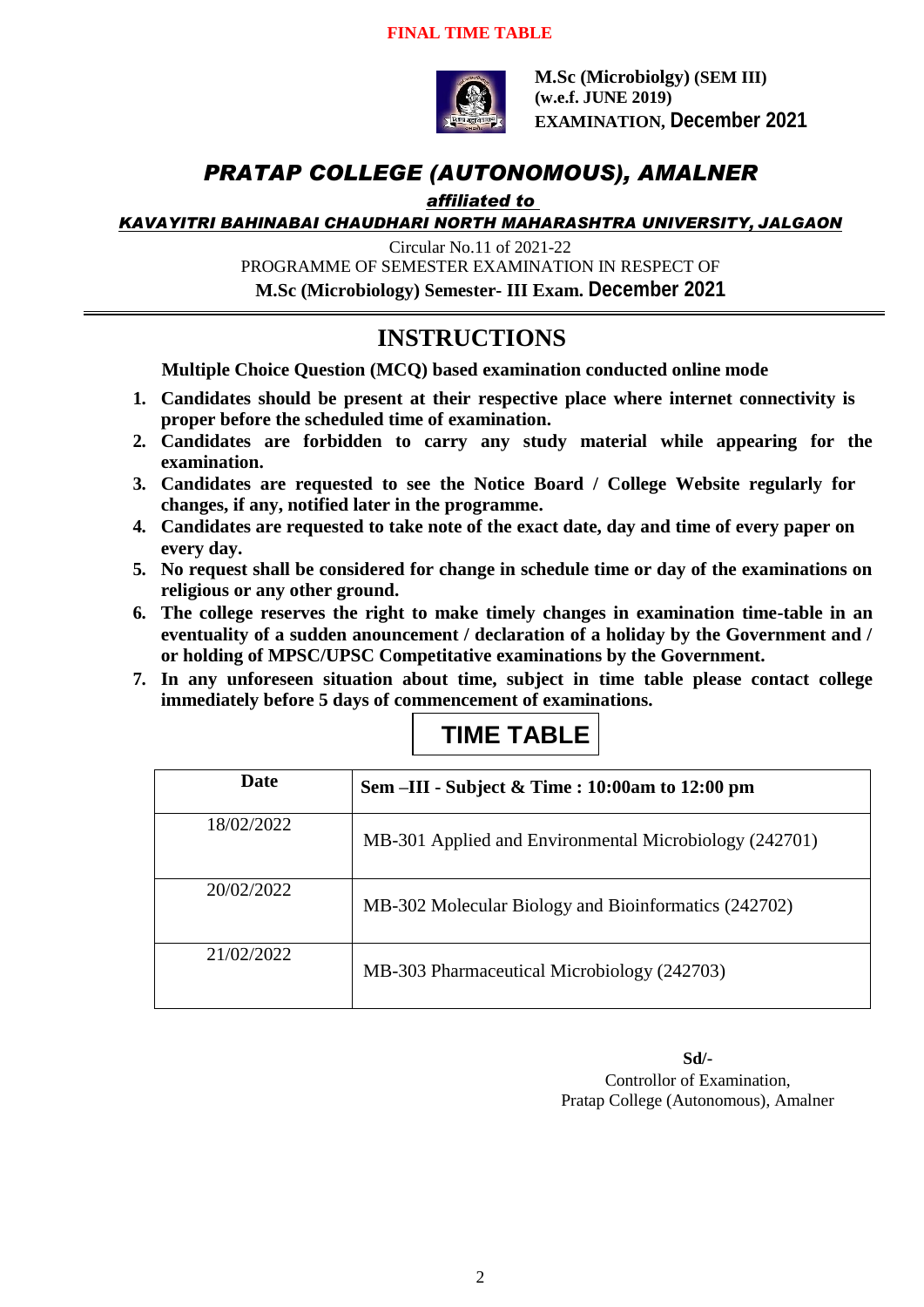#### **FINAL TIME TABLE**



**M.Sc (Microbiolgy) (SEM III) (w.e.f. JUNE 2019) EXAMINATION, December 2021**

#### *PRATAP COLLEGE (AUTONOMOUS), AMALNER*

#### *affiliated to*

*KAVAYITRI BAHINABAI CHAUDHARI NORTH MAHARASHTRA UNIVERSITY, JALGAON*

Circular No.11 of 2021-22

PROGRAMME OF SEMESTER EXAMINATION IN RESPECT OF

**M.Sc (Microbiology) Semester- III Exam. December 2021**

#### **INSTRUCTIONS**

**Multiple Choice Question (MCQ) based examination conducted online mode**

- **1. Candidates should be present at their respective place where internet connectivity is proper before the scheduled time of examination.**
- **2. Candidates are forbidden to carry any study material while appearing for the examination.**
- **3. Candidates are requested to see the Notice Board / College Website regularly for changes, if any, notified later in the programme.**
- **4. Candidates are requested to take note of the exact date, day and time of every paper on every day.**
- **5. No request shall be considered for change in schedule time or day of the examinations on religious or any other ground.**
- **6. The college reserves the right to make timely changes in examination time-table in an eventuality of a sudden anouncement / declaration of a holiday by the Government and / or holding of MPSC/UPSC Competitative examinations by the Government.**
- **7. In any unforeseen situation about time, subject in time table please contact college immediately before 5 days of commencement of examinations.**

# **TIME TABLE**

| Date       | Sem –III - Subject & Time : 10:00am to 12:00 pm        |
|------------|--------------------------------------------------------|
| 18/02/2022 | MB-301 Applied and Environmental Microbiology (242701) |
| 20/02/2022 | MB-302 Molecular Biology and Bioinformatics (242702)   |
| 21/02/2022 | MB-303 Pharmaceutical Microbiology (242703)            |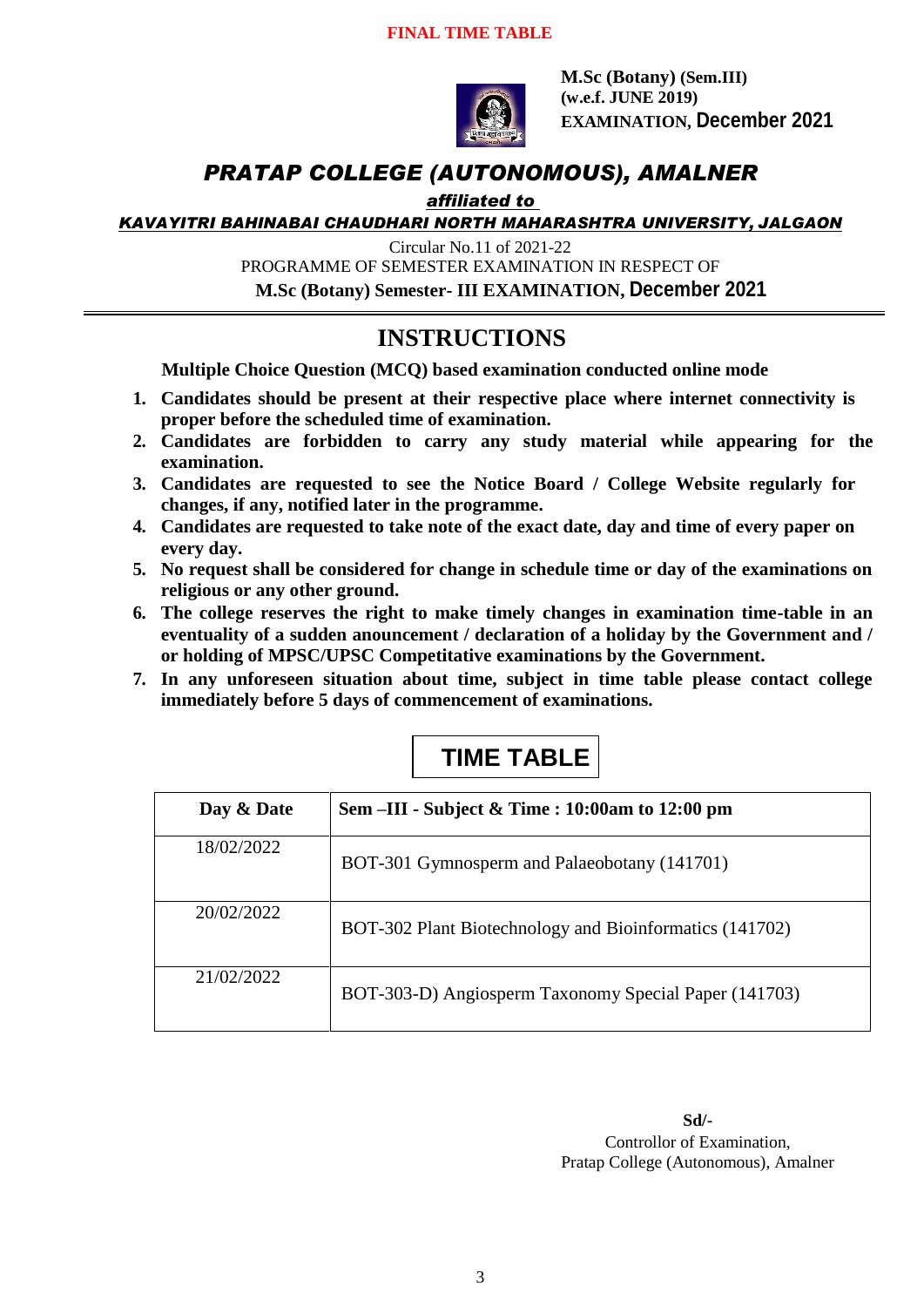

**M.Sc (Botany) (Sem.III) (w.e.f. JUNE 2019) EXAMINATION, December 2021**

#### *PRATAP COLLEGE (AUTONOMOUS), AMALNER*

#### *affiliated to*

*KAVAYITRI BAHINABAI CHAUDHARI NORTH MAHARASHTRA UNIVERSITY, JALGAON*

Circular No.11 of 2021-22

PROGRAMME OF SEMESTER EXAMINATION IN RESPECT OF

**M.Sc (Botany) Semester- III EXAMINATION, December 2021**

#### **INSTRUCTIONS**

**Multiple Choice Question (MCQ) based examination conducted online mode**

- **1. Candidates should be present at their respective place where internet connectivity is proper before the scheduled time of examination.**
- **2. Candidates are forbidden to carry any study material while appearing for the examination.**
- **3. Candidates are requested to see the Notice Board / College Website regularly for changes, if any, notified later in the programme.**
- **4. Candidates are requested to take note of the exact date, day and time of every paper on every day.**
- **5. No request shall be considered for change in schedule time or day of the examinations on religious or any other ground.**
- **6. The college reserves the right to make timely changes in examination time-table in an eventuality of a sudden anouncement / declaration of a holiday by the Government and / or holding of MPSC/UPSC Competitative examinations by the Government.**
- **7. In any unforeseen situation about time, subject in time table please contact college immediately before 5 days of commencement of examinations.**

# **TIME TABLE**

| Day & Date | Sem –III - Subject & Time : 10:00am to 12:00 pm         |
|------------|---------------------------------------------------------|
| 18/02/2022 | BOT-301 Gymnosperm and Palaeobotany (141701)            |
| 20/02/2022 | BOT-302 Plant Biotechnology and Bioinformatics (141702) |
| 21/02/2022 | BOT-303-D) Angiosperm Taxonomy Special Paper (141703)   |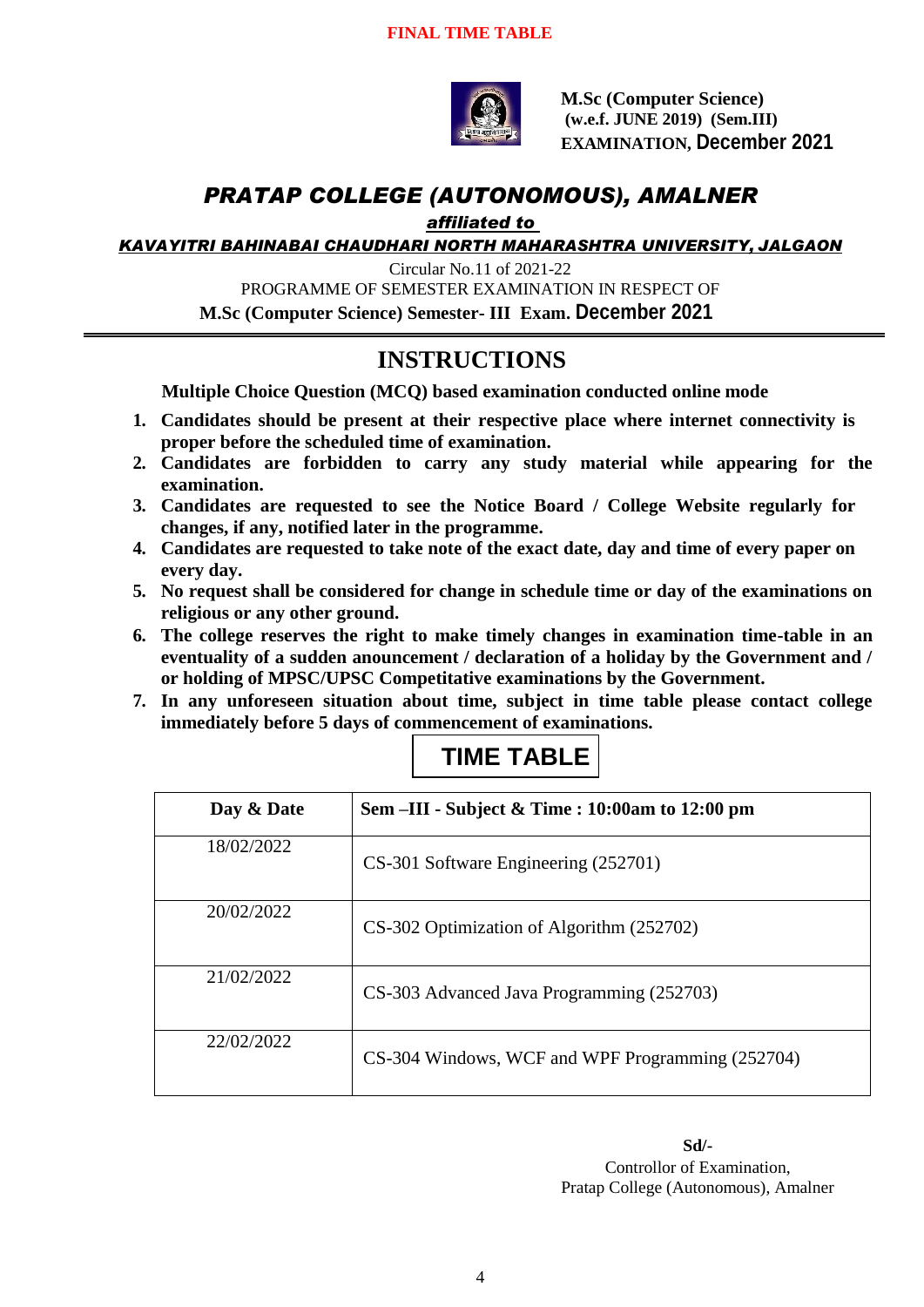

**M.Sc (Computer Science) (w.e.f. JUNE 2019) (Sem.III) EXAMINATION, December 2021**

# *PRATAP COLLEGE (AUTONOMOUS), AMALNER*

*affiliated to* 

*KAVAYITRI BAHINABAI CHAUDHARI NORTH MAHARASHTRA UNIVERSITY, JALGAON*

Circular No.11 of 2021-22 PROGRAMME OF SEMESTER EXAMINATION IN RESPECT OF **M.Sc (Computer Science) Semester- III Exam. December 2021**

#### **INSTRUCTIONS**

**Multiple Choice Question (MCQ) based examination conducted online mode**

- **1. Candidates should be present at their respective place where internet connectivity is proper before the scheduled time of examination.**
- **2. Candidates are forbidden to carry any study material while appearing for the examination.**
- **3. Candidates are requested to see the Notice Board / College Website regularly for changes, if any, notified later in the programme.**
- **4. Candidates are requested to take note of the exact date, day and time of every paper on every day.**
- **5. No request shall be considered for change in schedule time or day of the examinations on religious or any other ground.**
- **6. The college reserves the right to make timely changes in examination time-table in an eventuality of a sudden anouncement / declaration of a holiday by the Government and / or holding of MPSC/UPSC Competitative examinations by the Government.**
- **7. In any unforeseen situation about time, subject in time table please contact college immediately before 5 days of commencement of examinations.**

| Day & Date | Sem –III - Subject & Time : 10:00am to 12:00 pm  |
|------------|--------------------------------------------------|
| 18/02/2022 | CS-301 Software Engineering (252701)             |
| 20/02/2022 | CS-302 Optimization of Algorithm (252702)        |
| 21/02/2022 | CS-303 Advanced Java Programming (252703)        |
| 22/02/2022 | CS-304 Windows, WCF and WPF Programming (252704) |

### **TIME TABLE**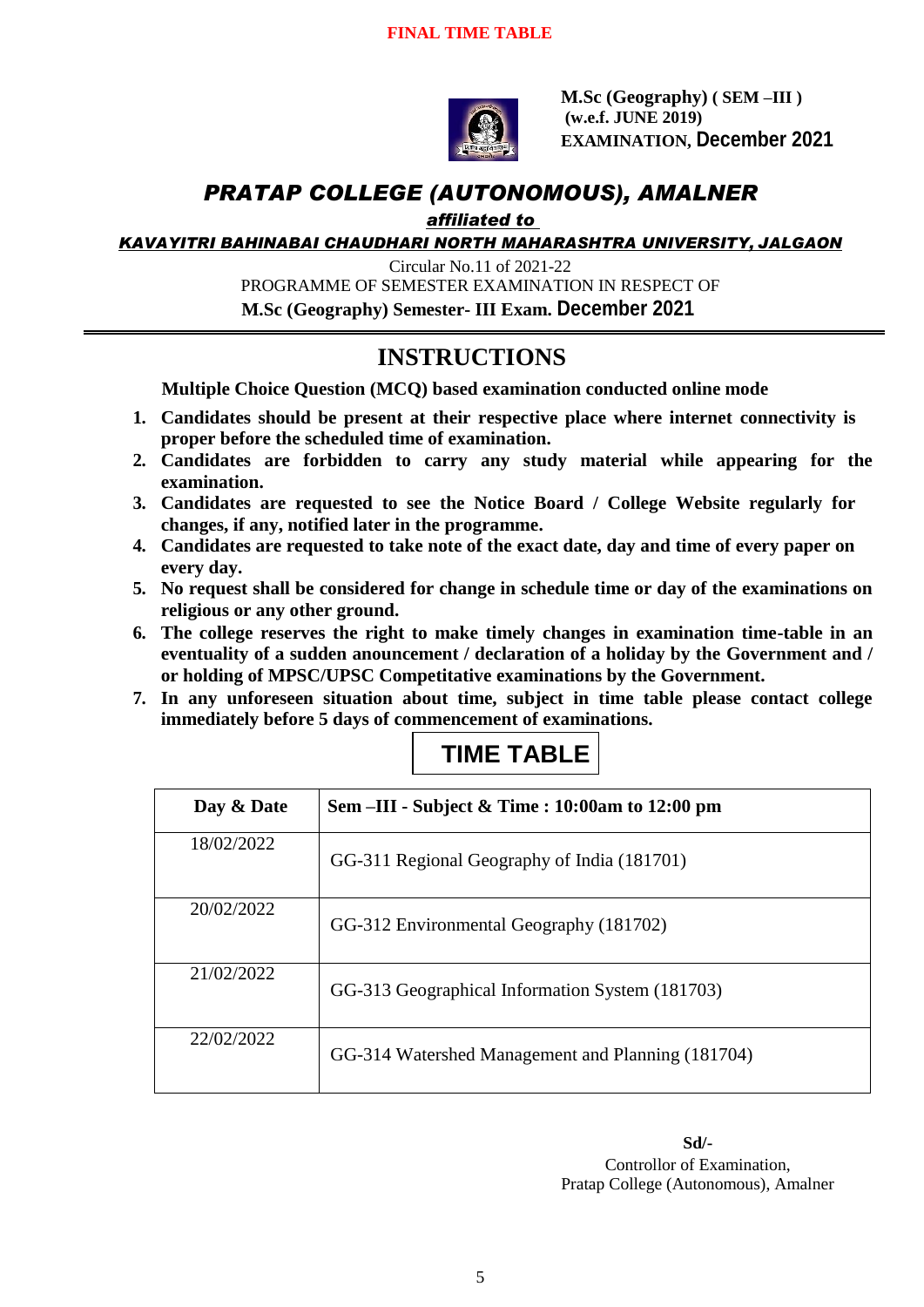

**M.Sc (Geography) ( SEM –III ) (w.e.f. JUNE 2019) EXAMINATION, December 2021**

#### *PRATAP COLLEGE (AUTONOMOUS), AMALNER*

#### *affiliated to*

*KAVAYITRI BAHINABAI CHAUDHARI NORTH MAHARASHTRA UNIVERSITY, JALGAON*

Circular No.11 of 2021-22 PROGRAMME OF SEMESTER EXAMINATION IN RESPECT OF  **M.Sc (Geography) Semester- III Exam. December 2021**

### **INSTRUCTIONS**

**Multiple Choice Question (MCQ) based examination conducted online mode**

- **1. Candidates should be present at their respective place where internet connectivity is proper before the scheduled time of examination.**
- **2. Candidates are forbidden to carry any study material while appearing for the examination.**
- **3. Candidates are requested to see the Notice Board / College Website regularly for changes, if any, notified later in the programme.**
- **4. Candidates are requested to take note of the exact date, day and time of every paper on every day.**
- **5. No request shall be considered for change in schedule time or day of the examinations on religious or any other ground.**
- **6. The college reserves the right to make timely changes in examination time-table in an eventuality of a sudden anouncement / declaration of a holiday by the Government and / or holding of MPSC/UPSC Competitative examinations by the Government.**
- **7. In any unforeseen situation about time, subject in time table please contact college immediately before 5 days of commencement of examinations.**

| Day & Date | Sem –III - Subject & Time : 10:00am to 12:00 pm   |
|------------|---------------------------------------------------|
| 18/02/2022 | GG-311 Regional Geography of India (181701)       |
| 20/02/2022 | GG-312 Environmental Geography (181702)           |
| 21/02/2022 | GG-313 Geographical Information System (181703)   |
| 22/02/2022 | GG-314 Watershed Management and Planning (181704) |

### **TIME TABLE**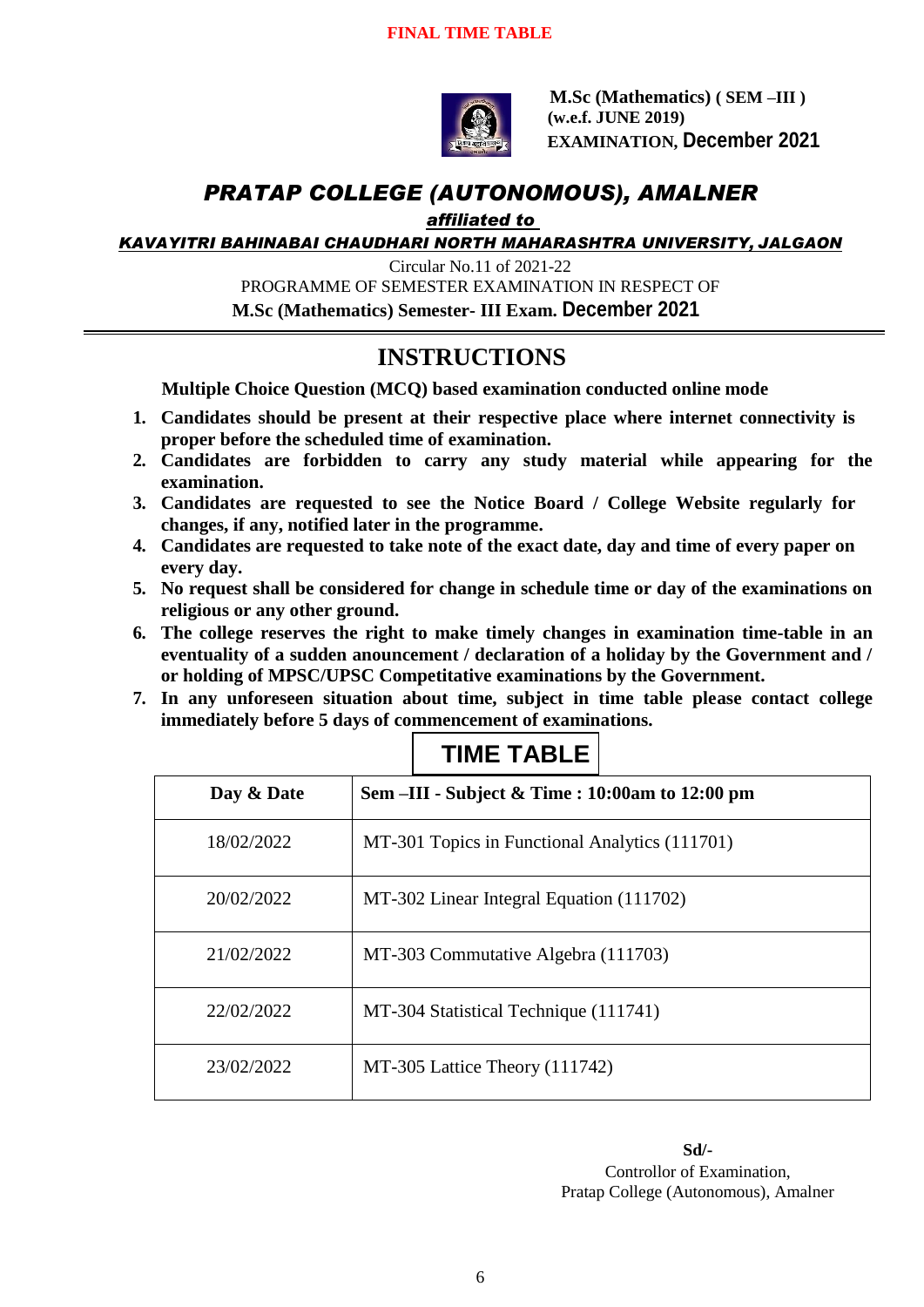

**M.Sc (Mathematics) ( SEM –III ) (w.e.f. JUNE 2019) EXAMINATION, December 2021**

#### *PRATAP COLLEGE (AUTONOMOUS), AMALNER*

*affiliated to* 

*KAVAYITRI BAHINABAI CHAUDHARI NORTH MAHARASHTRA UNIVERSITY, JALGAON*

Circular No.11 of 2021-22 PROGRAMME OF SEMESTER EXAMINATION IN RESPECT OF

 **M.Sc (Mathematics) Semester- III Exam. December 2021**

### **INSTRUCTIONS**

**Multiple Choice Question (MCQ) based examination conducted online mode**

- **1. Candidates should be present at their respective place where internet connectivity is proper before the scheduled time of examination.**
- **2. Candidates are forbidden to carry any study material while appearing for the examination.**
- **3. Candidates are requested to see the Notice Board / College Website regularly for changes, if any, notified later in the programme.**
- **4. Candidates are requested to take note of the exact date, day and time of every paper on every day.**
- **5. No request shall be considered for change in schedule time or day of the examinations on religious or any other ground.**
- **6. The college reserves the right to make timely changes in examination time-table in an eventuality of a sudden anouncement / declaration of a holiday by the Government and / or holding of MPSC/UPSC Competitative examinations by the Government.**
- **7. In any unforeseen situation about time, subject in time table please contact college immediately before 5 days of commencement of examinations.**

| Day & Date | Sem –III - Subject & Time : 10:00am to 12:00 pm |
|------------|-------------------------------------------------|
| 18/02/2022 | MT-301 Topics in Functional Analytics (111701)  |
| 20/02/2022 | MT-302 Linear Integral Equation (111702)        |
| 21/02/2022 | MT-303 Commutative Algebra (111703)             |
| 22/02/2022 | MT-304 Statistical Technique (111741)           |
| 23/02/2022 | MT-305 Lattice Theory (111742)                  |

**TIME TABLE**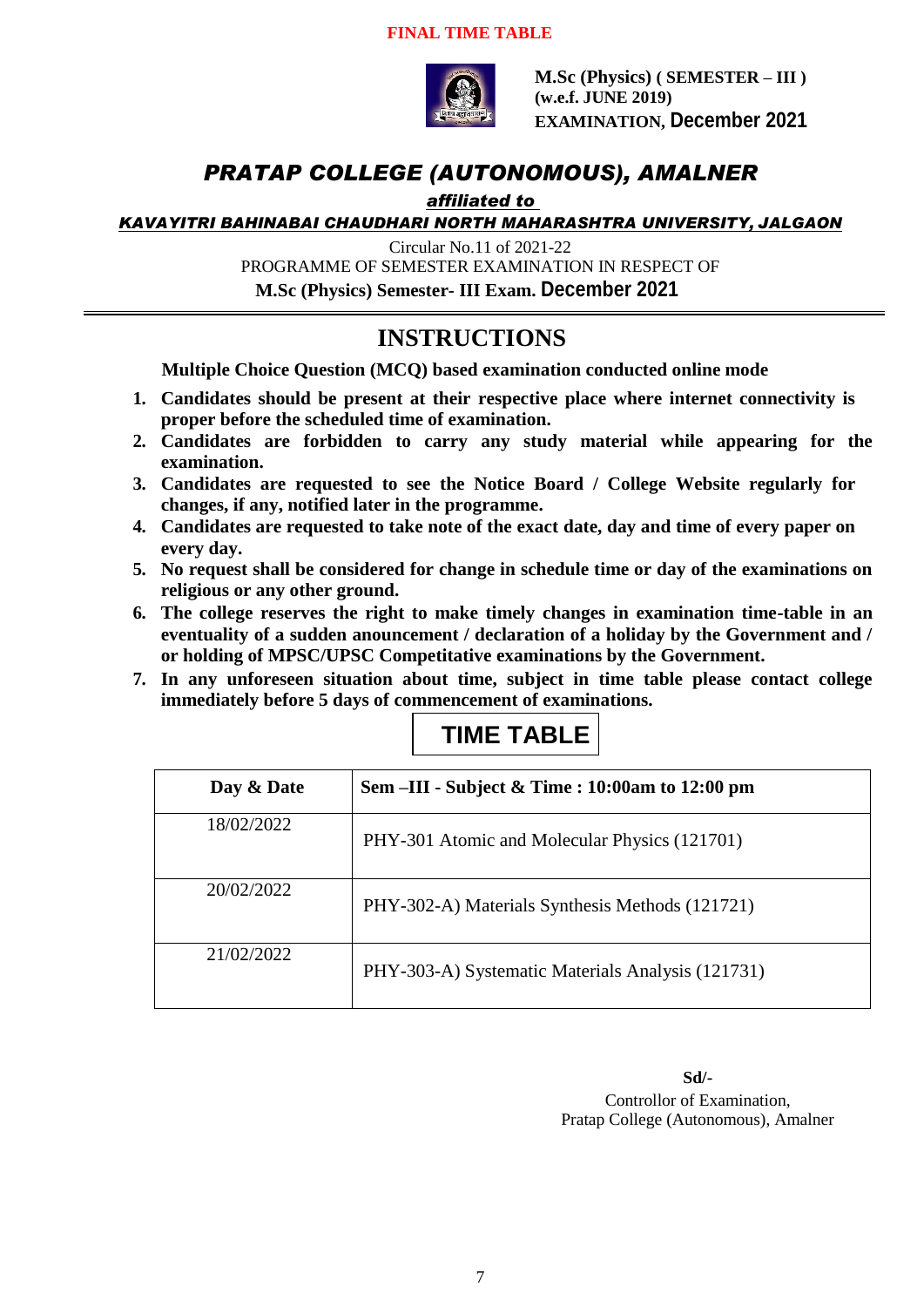#### **FINAL TIME TABLE**



**M.Sc (Physics) ( SEMESTER – III ) (w.e.f. JUNE 2019) EXAMINATION, December 2021**

#### *PRATAP COLLEGE (AUTONOMOUS), AMALNER*

#### *affiliated to*

*KAVAYITRI BAHINABAI CHAUDHARI NORTH MAHARASHTRA UNIVERSITY, JALGAON*

Circular No.11 of 2021-22

PROGRAMME OF SEMESTER EXAMINATION IN RESPECT OF

**M.Sc (Physics) Semester- III Exam. December 2021**

#### **INSTRUCTIONS**

**Multiple Choice Question (MCQ) based examination conducted online mode**

- **1. Candidates should be present at their respective place where internet connectivity is proper before the scheduled time of examination.**
- **2. Candidates are forbidden to carry any study material while appearing for the examination.**
- **3. Candidates are requested to see the Notice Board / College Website regularly for changes, if any, notified later in the programme.**
- **4. Candidates are requested to take note of the exact date, day and time of every paper on every day.**
- **5. No request shall be considered for change in schedule time or day of the examinations on religious or any other ground.**
- **6. The college reserves the right to make timely changes in examination time-table in an eventuality of a sudden anouncement / declaration of a holiday by the Government and / or holding of MPSC/UPSC Competitative examinations by the Government.**
- **7. In any unforeseen situation about time, subject in time table please contact college immediately before 5 days of commencement of examinations.**

# **TIME TABLE**

| Day & Date | Sem $\text{-III}$ - Subject & Time : 10:00am to 12:00 pm |
|------------|----------------------------------------------------------|
| 18/02/2022 | PHY-301 Atomic and Molecular Physics (121701)            |
| 20/02/2022 | PHY-302-A) Materials Synthesis Methods (121721)          |
| 21/02/2022 | PHY-303-A) Systematic Materials Analysis (121731)        |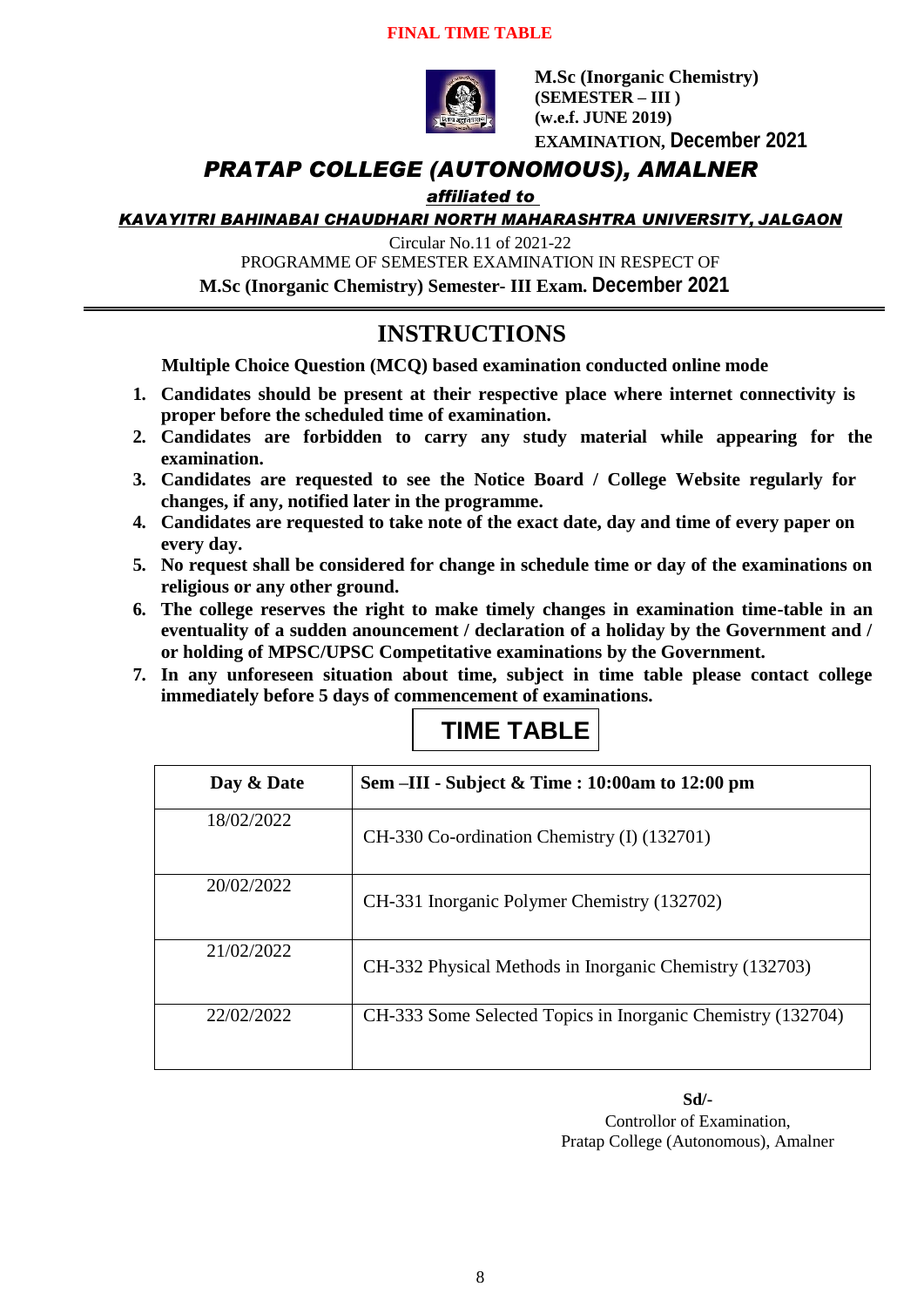#### **FINAL TIME TABLE**



**M.Sc (Inorganic Chemistry) (SEMESTER – III ) (w.e.f. JUNE 2019) EXAMINATION, December 2021**

#### *PRATAP COLLEGE (AUTONOMOUS), AMALNER*

#### *affiliated to*

*KAVAYITRI BAHINABAI CHAUDHARI NORTH MAHARASHTRA UNIVERSITY, JALGAON*

Circular No.11 of 2021-22

PROGRAMME OF SEMESTER EXAMINATION IN RESPECT OF **M.Sc (Inorganic Chemistry) Semester- III Exam. December 2021**

### **INSTRUCTIONS**

**Multiple Choice Question (MCQ) based examination conducted online mode**

- **1. Candidates should be present at their respective place where internet connectivity is proper before the scheduled time of examination.**
- **2. Candidates are forbidden to carry any study material while appearing for the examination.**
- **3. Candidates are requested to see the Notice Board / College Website regularly for changes, if any, notified later in the programme.**
- **4. Candidates are requested to take note of the exact date, day and time of every paper on every day.**
- **5. No request shall be considered for change in schedule time or day of the examinations on religious or any other ground.**
- **6. The college reserves the right to make timely changes in examination time-table in an eventuality of a sudden anouncement / declaration of a holiday by the Government and / or holding of MPSC/UPSC Competitative examinations by the Government.**
- **7. In any unforeseen situation about time, subject in time table please contact college immediately before 5 days of commencement of examinations.**

# **TIME TABLE**

| Day & Date | Sem –III - Subject & Time : 10:00am to 12:00 pm             |
|------------|-------------------------------------------------------------|
| 18/02/2022 | CH-330 Co-ordination Chemistry (I) (132701)                 |
| 20/02/2022 | CH-331 Inorganic Polymer Chemistry (132702)                 |
| 21/02/2022 | CH-332 Physical Methods in Inorganic Chemistry (132703)     |
| 22/02/2022 | CH-333 Some Selected Topics in Inorganic Chemistry (132704) |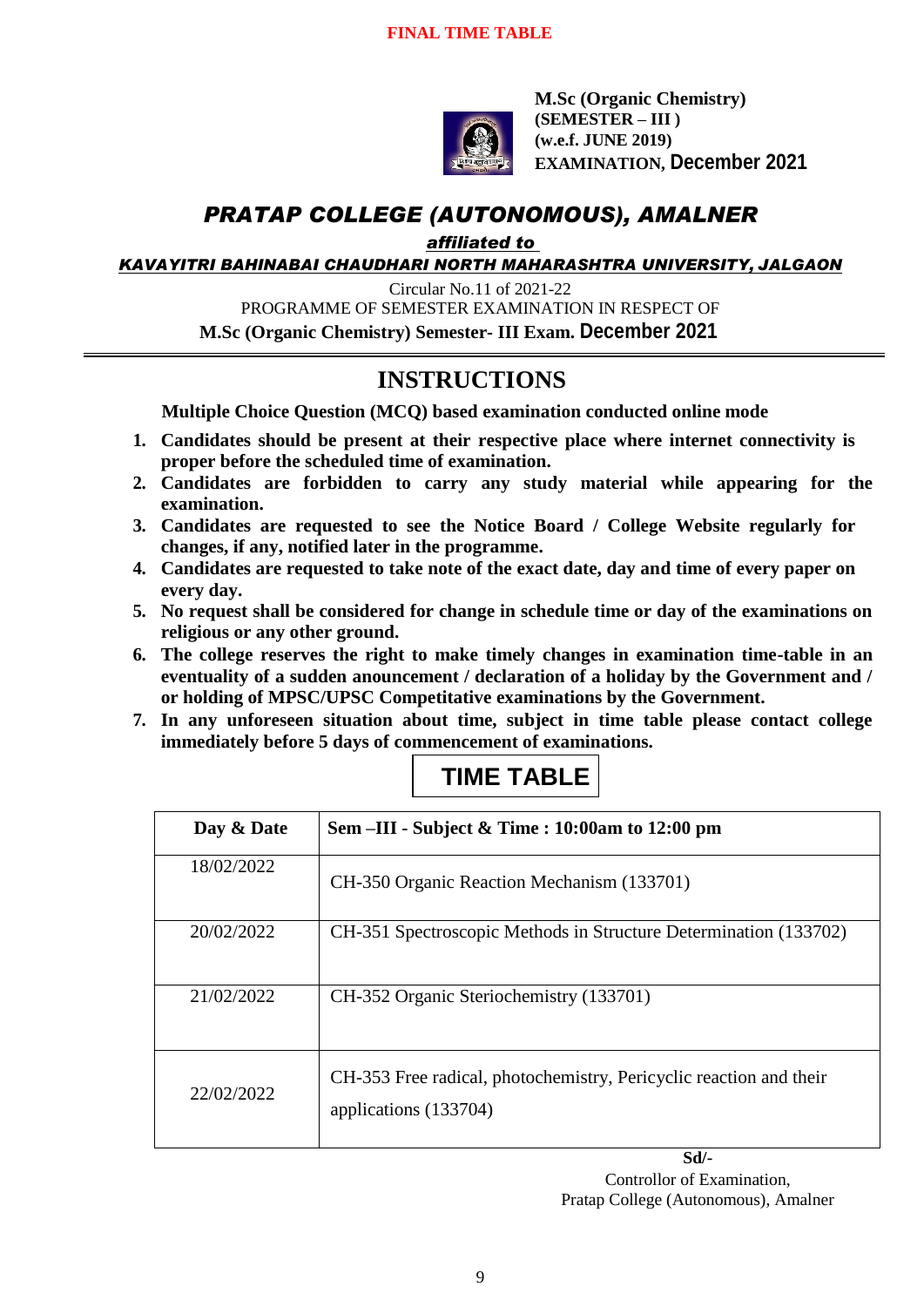

**M.Sc (Organic Chemistry) (SEMESTER – III ) (w.e.f. JUNE 2019) EXAMINATION, December 2021**

### *PRATAP COLLEGE (AUTONOMOUS), AMALNER*

*affiliated to* 

*KAVAYITRI BAHINABAI CHAUDHARI NORTH MAHARASHTRA UNIVERSITY, JALGAON*

Circular No.11 of 2021-22

PROGRAMME OF SEMESTER EXAMINATION IN RESPECT OF

**M.Sc (Organic Chemistry) Semester- III Exam. December 2021**

### **INSTRUCTIONS**

**Multiple Choice Question (MCQ) based examination conducted online mode**

- **1. Candidates should be present at their respective place where internet connectivity is proper before the scheduled time of examination.**
- **2. Candidates are forbidden to carry any study material while appearing for the examination.**
- **3. Candidates are requested to see the Notice Board / College Website regularly for changes, if any, notified later in the programme.**
- **4. Candidates are requested to take note of the exact date, day and time of every paper on every day.**
- **5. No request shall be considered for change in schedule time or day of the examinations on religious or any other ground.**
- **6. The college reserves the right to make timely changes in examination time-table in an eventuality of a sudden anouncement / declaration of a holiday by the Government and / or holding of MPSC/UPSC Competitative examinations by the Government.**
- **7. In any unforeseen situation about time, subject in time table please contact college immediately before 5 days of commencement of examinations.**

| Day & Date | Sem –III - Subject & Time : 10:00am to 12:00 pm                                             |
|------------|---------------------------------------------------------------------------------------------|
| 18/02/2022 | CH-350 Organic Reaction Mechanism (133701)                                                  |
| 20/02/2022 | CH-351 Spectroscopic Methods in Structure Determination (133702)                            |
| 21/02/2022 | CH-352 Organic Steriochemistry (133701)                                                     |
| 22/02/2022 | CH-353 Free radical, photochemistry, Pericyclic reaction and their<br>applications (133704) |

# **TIME TABLE**